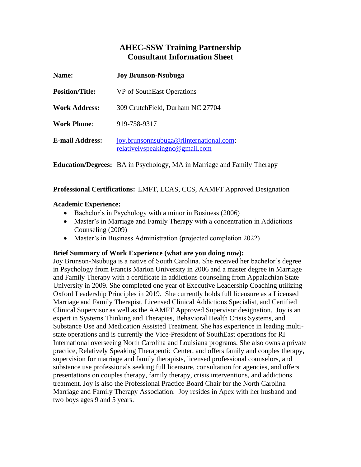# **AHEC-SSW Training Partnership Consultant Information Sheet**

| <b>Name:</b>           | <b>Joy Brunson-Nsubuga</b>                                                |
|------------------------|---------------------------------------------------------------------------|
| <b>Position/Title:</b> | VP of SouthEast Operations                                                |
| <b>Work Address:</b>   | 309 Crutch Field, Durham NC 27704                                         |
| <b>Work Phone:</b>     | 919-758-9317                                                              |
| <b>E-mail Address:</b> | joy.brunsonnsubuga@riinternational.com;<br>relativelyspeakingnc@gmail.com |

**Education/Degrees:** BA in Psychology, MA in Marriage and Family Therapy

**Professional Certifications:** LMFT, LCAS, CCS, AAMFT Approved Designation

### **Academic Experience:**

- Bachelor's in Psychology with a minor in Business (2006)
- Master's in Marriage and Family Therapy with a concentration in Addictions Counseling (2009)
- Master's in Business Administration (projected completion 2022)

#### **Brief Summary of Work Experience (what are you doing now):**

Joy Brunson-Nsubuga is a native of South Carolina. She received her bachelor's degree in Psychology from Francis Marion University in 2006 and a master degree in Marriage and Family Therapy with a certificate in addictions counseling from Appalachian State University in 2009. She completed one year of Executive Leadership Coaching utilizing Oxford Leadership Principles in 2019. She currently holds full licensure as a Licensed Marriage and Family Therapist, Licensed Clinical Addictions Specialist, and Certified Clinical Supervisor as well as the AAMFT Approved Supervisor designation. Joy is an expert in Systems Thinking and Therapies, Behavioral Health Crisis Systems, and Substance Use and Medication Assisted Treatment. She has experience in leading multistate operations and is currently the Vice-President of SouthEast operations for RI International overseeing North Carolina and Louisiana programs. She also owns a private practice, Relatively Speaking Therapeutic Center, and offers family and couples therapy, supervision for marriage and family therapists, licensed professional counselors, and substance use professionals seeking full licensure, consultation for agencies, and offers presentations on couples therapy, family therapy, crisis interventions, and addictions treatment. Joy is also the Professional Practice Board Chair for the North Carolina Marriage and Family Therapy Association. Joy resides in Apex with her husband and two boys ages 9 and 5 years.